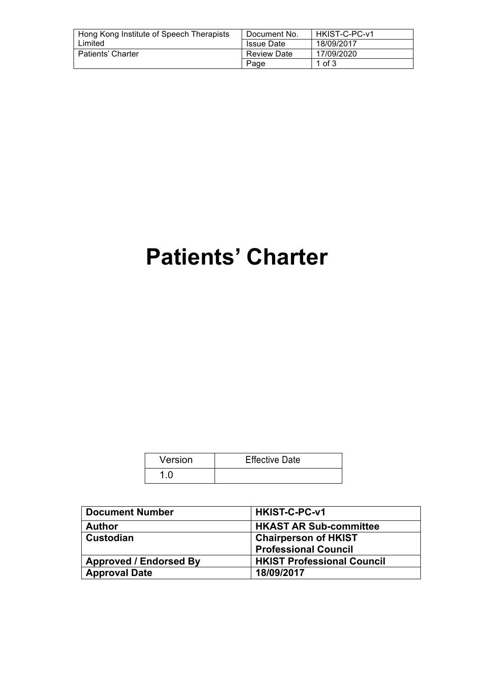| Hong Kong Institute of Speech Therapists | Document No.       | HKIST-C-PC-v1 |
|------------------------------------------|--------------------|---------------|
| Limited                                  | <b>Issue Date</b>  | 18/09/2017    |
| Patients' Charter                        | <b>Review Date</b> | 17/09/2020    |
|                                          | Page               | 1 of $3$      |

# **Patients' Charter**

| Version | <b>Effective Date</b> |
|---------|-----------------------|
|         |                       |

| <b>Document Number</b>        | HKIST-C-PC-v1                     |
|-------------------------------|-----------------------------------|
| <b>Author</b>                 | <b>HKAST AR Sub-committee</b>     |
| ∣ Custodian                   | <b>Chairperson of HKIST</b>       |
|                               | <b>Professional Council</b>       |
| <b>Approved / Endorsed By</b> | <b>HKIST Professional Council</b> |
| <b>Approval Date</b>          | 18/09/2017                        |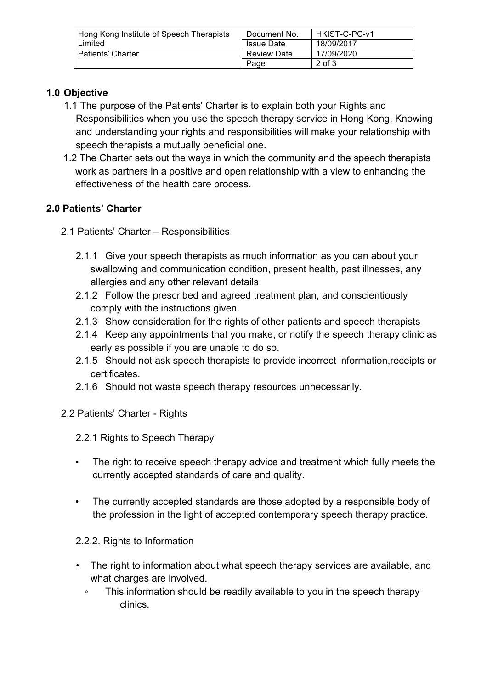| Hong Kong Institute of Speech Therapists | Document No.       | HKIST-C-PC-v1 |
|------------------------------------------|--------------------|---------------|
| Limited                                  | <b>Issue Date</b>  | 18/09/2017    |
| Patients' Charter                        | <b>Review Date</b> | 17/09/2020    |
|                                          | Page               | $2$ of $3$    |

## **1.0 Objective**

- 1.1 The purpose of the Patients' Charter is to explain both your Rights and Responsibilities when you use the speech therapy service in Hong Kong. Knowing and understanding your rights and responsibilities will make your relationship with speech therapists a mutually beneficial one.
- 1.2 The Charter sets out the ways in which the community and the speech therapists work as partners in a positive and open relationship with a view to enhancing the effectiveness of the health care process.

# **2.0 Patients' Charter**

- 2.1 Patients' Charter Responsibilities
	- 2.1.1 Give your speech therapists as much information as you can about your swallowing and communication condition, present health, past illnesses, any allergies and any other relevant details.
	- 2.1.2 Follow the prescribed and agreed treatment plan, and conscientiously comply with the instructions given.
	- 2.1.3 Show consideration for the rights of other patients and speech therapists
	- 2.1.4 Keep any appointments that you make, or notify the speech therapy clinic as early as possible if you are unable to do so.
	- 2.1.5 Should not ask speech therapists to provide incorrect information,receipts or certificates.
	- 2.1.6 Should not waste speech therapy resources unnecessarily.
- 2.2 Patients' Charter Rights
	- 2.2.1 Rights to Speech Therapy
	- The right to receive speech therapy advice and treatment which fully meets the currently accepted standards of care and quality.
	- The currently accepted standards are those adopted by a responsible body of the profession in the light of accepted contemporary speech therapy practice.

#### 2.2.2. Rights to Information

- The right to information about what speech therapy services are available, and what charges are involved.
	- This information should be readily available to you in the speech therapy clinics.